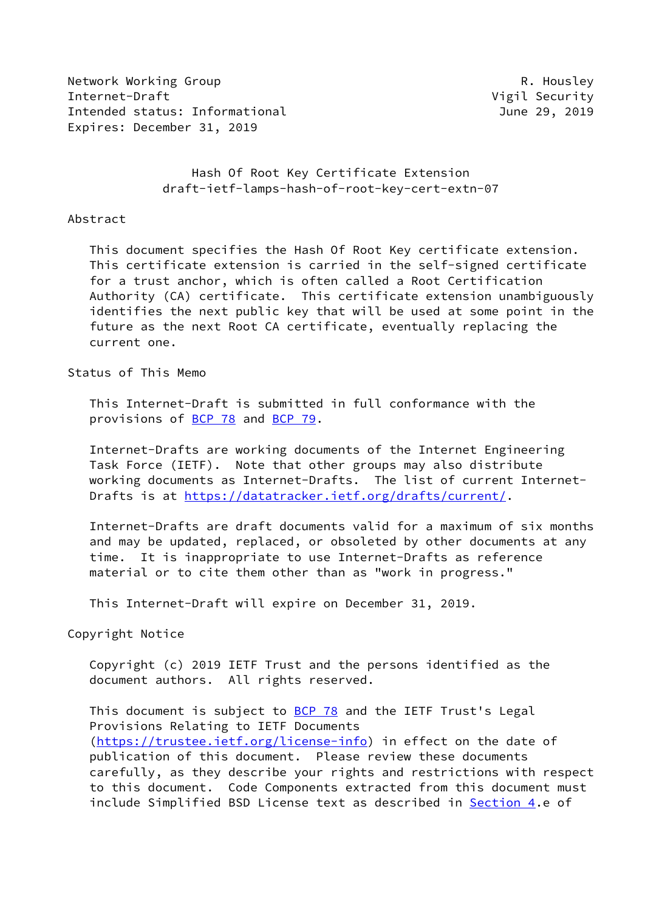Network Working Group **R. Housley** Internet-Draft **Vigil Security** Intended status: Informational and the control of the control of the control of the control of the control of the control of the control of the control of the control of the control of the control of the control of the con Expires: December 31, 2019

# Hash Of Root Key Certificate Extension draft-ietf-lamps-hash-of-root-key-cert-extn-07

#### Abstract

 This document specifies the Hash Of Root Key certificate extension. This certificate extension is carried in the self-signed certificate for a trust anchor, which is often called a Root Certification Authority (CA) certificate. This certificate extension unambiguously identifies the next public key that will be used at some point in the future as the next Root CA certificate, eventually replacing the current one.

# Status of This Memo

 This Internet-Draft is submitted in full conformance with the provisions of [BCP 78](https://datatracker.ietf.org/doc/pdf/bcp78) and [BCP 79](https://datatracker.ietf.org/doc/pdf/bcp79).

 Internet-Drafts are working documents of the Internet Engineering Task Force (IETF). Note that other groups may also distribute working documents as Internet-Drafts. The list of current Internet- Drafts is at<https://datatracker.ietf.org/drafts/current/>.

 Internet-Drafts are draft documents valid for a maximum of six months and may be updated, replaced, or obsoleted by other documents at any time. It is inappropriate to use Internet-Drafts as reference material or to cite them other than as "work in progress."

This Internet-Draft will expire on December 31, 2019.

### Copyright Notice

 Copyright (c) 2019 IETF Trust and the persons identified as the document authors. All rights reserved.

This document is subject to **[BCP 78](https://datatracker.ietf.org/doc/pdf/bcp78)** and the IETF Trust's Legal Provisions Relating to IETF Documents [\(https://trustee.ietf.org/license-info](https://trustee.ietf.org/license-info)) in effect on the date of publication of this document. Please review these documents carefully, as they describe your rights and restrictions with respect to this document. Code Components extracted from this document must include Simplified BSD License text as described in [Section 4.](#page-4-0)e of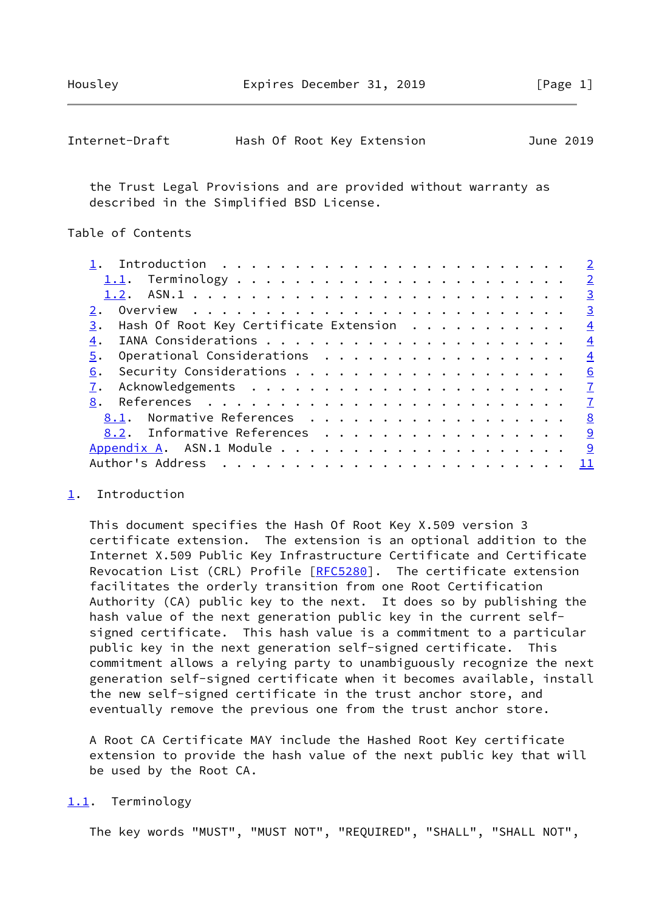<span id="page-1-1"></span>

| Internet-Draft |  |  | Hash Of Root Key Extension |  | June 2019 |
|----------------|--|--|----------------------------|--|-----------|
|----------------|--|--|----------------------------|--|-----------|

 the Trust Legal Provisions and are provided without warranty as described in the Simplified BSD License.

# Table of Contents

|                                                        | $\overline{\phantom{0}}$ 2 |
|--------------------------------------------------------|----------------------------|
|                                                        | $\overline{\phantom{0}}$ 2 |
|                                                        | $\overline{\mathbf{3}}$    |
|                                                        | $\overline{\mathbf{3}}$    |
| $\frac{3}{2}$ . Hash Of Root Key Certificate Extension | $\overline{4}$             |
| 4.                                                     | $\frac{4}{1}$              |
| Operational Considerations<br>5.                       | $\frac{4}{1}$              |
| 6.                                                     | 6                          |
|                                                        |                            |
| 8.                                                     |                            |
| 8.1. Normative References                              | 8                          |
| 8.2. Informative References                            | <u>9</u>                   |
|                                                        | <u>9</u>                   |
|                                                        | -11                        |
|                                                        |                            |

### <span id="page-1-0"></span>[1](#page-1-0). Introduction

 This document specifies the Hash Of Root Key X.509 version 3 certificate extension. The extension is an optional addition to the Internet X.509 Public Key Infrastructure Certificate and Certificate Revocation List (CRL) Profile [[RFC5280](https://datatracker.ietf.org/doc/pdf/rfc5280)]. The certificate extension facilitates the orderly transition from one Root Certification Authority (CA) public key to the next. It does so by publishing the hash value of the next generation public key in the current self signed certificate. This hash value is a commitment to a particular public key in the next generation self-signed certificate. This commitment allows a relying party to unambiguously recognize the next generation self-signed certificate when it becomes available, install the new self-signed certificate in the trust anchor store, and eventually remove the previous one from the trust anchor store.

 A Root CA Certificate MAY include the Hashed Root Key certificate extension to provide the hash value of the next public key that will be used by the Root CA.

### <span id="page-1-2"></span>[1.1](#page-1-2). Terminology

The key words "MUST", "MUST NOT", "REQUIRED", "SHALL", "SHALL NOT",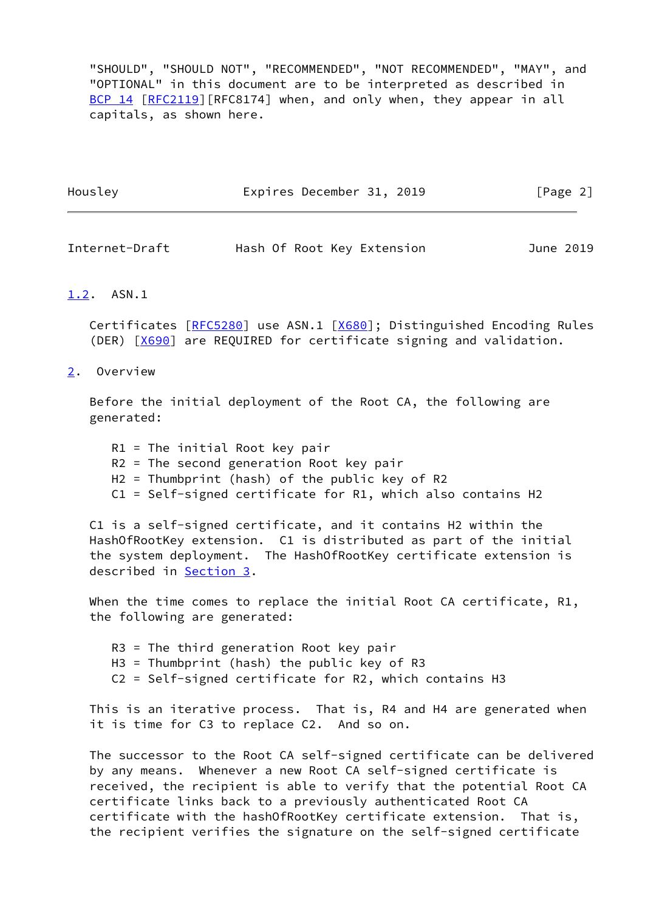"SHOULD", "SHOULD NOT", "RECOMMENDED", "NOT RECOMMENDED", "MAY", and "OPTIONAL" in this document are to be interpreted as described in [BCP 14](https://datatracker.ietf.org/doc/pdf/bcp14) [\[RFC2119](https://datatracker.ietf.org/doc/pdf/rfc2119)][RFC8174] when, and only when, they appear in all capitals, as shown here.

| Housley | Expires December 31, 2019 |  | [Page 2] |
|---------|---------------------------|--|----------|
|         |                           |  |          |

<span id="page-2-1"></span>Internet-Draft Hash Of Root Key Extension June 2019

#### <span id="page-2-0"></span>[1.2](#page-2-0). ASN.1

Certificates [\[RFC5280](https://datatracker.ietf.org/doc/pdf/rfc5280)] use ASN.1 [\[X680](#page-8-0)]; Distinguished Encoding Rules (DER) [[X690\]](#page-8-1) are REQUIRED for certificate signing and validation.

<span id="page-2-2"></span>[2](#page-2-2). Overview

 Before the initial deployment of the Root CA, the following are generated:

 R1 = The initial Root key pair R2 = The second generation Root key pair H2 = Thumbprint (hash) of the public key of R2 C1 = Self-signed certificate for R1, which also contains H2

 C1 is a self-signed certificate, and it contains H2 within the HashOfRootKey extension. C1 is distributed as part of the initial the system deployment. The HashOfRootKey certificate extension is described in [Section 3](#page-3-0).

 When the time comes to replace the initial Root CA certificate, R1, the following are generated:

 R3 = The third generation Root key pair H3 = Thumbprint (hash) the public key of R3 C2 = Self-signed certificate for R2, which contains H3

 This is an iterative process. That is, R4 and H4 are generated when it is time for C3 to replace C2. And so on.

 The successor to the Root CA self-signed certificate can be delivered by any means. Whenever a new Root CA self-signed certificate is received, the recipient is able to verify that the potential Root CA certificate links back to a previously authenticated Root CA certificate with the hashOfRootKey certificate extension. That is, the recipient verifies the signature on the self-signed certificate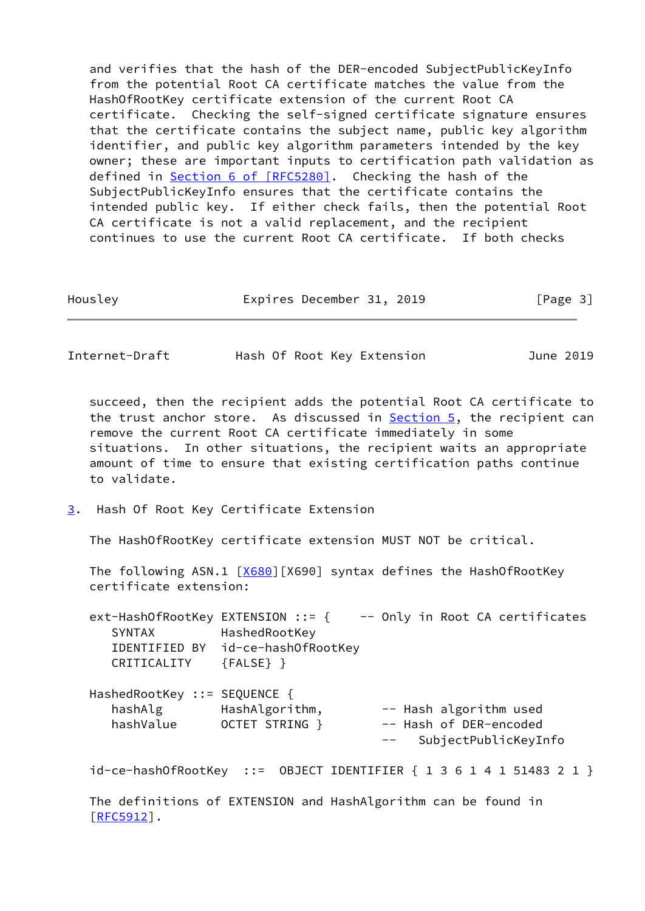and verifies that the hash of the DER-encoded SubjectPublicKeyInfo from the potential Root CA certificate matches the value from the HashOfRootKey certificate extension of the current Root CA certificate. Checking the self-signed certificate signature ensures that the certificate contains the subject name, public key algorithm identifier, and public key algorithm parameters intended by the key owner; these are important inputs to certification path validation as defined in Section [6 of \[RFC5280\]](https://datatracker.ietf.org/doc/pdf/rfc5280#section-6). Checking the hash of the SubjectPublicKeyInfo ensures that the certificate contains the intended public key. If either check fails, then the potential Root CA certificate is not a valid replacement, and the recipient continues to use the current Root CA certificate. If both checks

Housley **Expires December 31, 2019** [Page 3]

<span id="page-3-1"></span>Internet-Draft Hash Of Root Key Extension June 2019

 succeed, then the recipient adds the potential Root CA certificate to the trust anchor store. As discussed in  $Section 5$ , the recipient can remove the current Root CA certificate immediately in some situations. In other situations, the recipient waits an appropriate amount of time to ensure that existing certification paths continue to validate.

<span id="page-3-0"></span>[3](#page-3-0). Hash Of Root Key Certificate Extension

The HashOfRootKey certificate extension MUST NOT be critical.

The following ASN.1 [\[X680](#page-8-0)][X690] syntax defines the HashOfRootKey certificate extension:

ext-HashOfRootKey EXTENSION ::=  $\{$  -- Only in Root CA certificates SYNTAX HashedRootKey IDENTIFIED BY id-ce-hashOfRootKey CRITICALITY {FALSE} }

| HashedRootKey ::= SEQUENCE { |                |       |                        |
|------------------------------|----------------|-------|------------------------|
| hashAlg                      | HashAlgorithm, |       | -- Hash algorithm used |
| hashValue                    | OCTET STRING } |       | -- Hash of DER-encoded |
|                              |                | $- -$ | SubjectPublicKeyInfo   |

id-ce-hashOfRootKey ::= OBJECT IDENTIFIER { 1 3 6 1 4 1 51483 2 1 }

 The definitions of EXTENSION and HashAlgorithm can be found in [\[RFC5912](https://datatracker.ietf.org/doc/pdf/rfc5912)].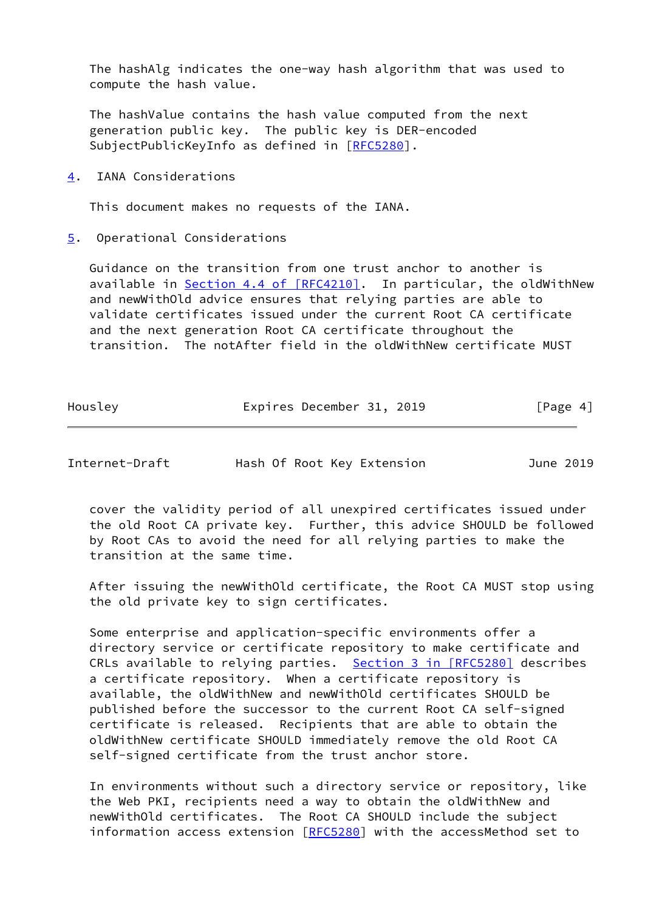The hashAlg indicates the one-way hash algorithm that was used to compute the hash value.

 The hashValue contains the hash value computed from the next generation public key. The public key is DER-encoded SubjectPublicKeyInfo as defined in [[RFC5280\]](https://datatracker.ietf.org/doc/pdf/rfc5280).

<span id="page-4-0"></span>[4](#page-4-0). IANA Considerations

This document makes no requests of the IANA.

<span id="page-4-1"></span>[5](#page-4-1). Operational Considerations

 Guidance on the transition from one trust anchor to another is available in Section [4.4 of \[RFC4210\]](https://datatracker.ietf.org/doc/pdf/rfc4210#section-4.4). In particular, the oldWithNew and newWithOld advice ensures that relying parties are able to validate certificates issued under the current Root CA certificate and the next generation Root CA certificate throughout the transition. The notAfter field in the oldWithNew certificate MUST

| Housley | Expires December 31, 2019 |  | [Page 4] |
|---------|---------------------------|--|----------|
|---------|---------------------------|--|----------|

Internet-Draft Hash Of Root Key Extension June 2019

 cover the validity period of all unexpired certificates issued under the old Root CA private key. Further, this advice SHOULD be followed by Root CAs to avoid the need for all relying parties to make the transition at the same time.

 After issuing the newWithOld certificate, the Root CA MUST stop using the old private key to sign certificates.

 Some enterprise and application-specific environments offer a directory service or certificate repository to make certificate and CRLs available to relying parties. Section [3 in \[RFC5280\]](https://datatracker.ietf.org/doc/pdf/rfc5280#section-3) describes a certificate repository. When a certificate repository is available, the oldWithNew and newWithOld certificates SHOULD be published before the successor to the current Root CA self-signed certificate is released. Recipients that are able to obtain the oldWithNew certificate SHOULD immediately remove the old Root CA self-signed certificate from the trust anchor store.

 In environments without such a directory service or repository, like the Web PKI, recipients need a way to obtain the oldWithNew and newWithOld certificates. The Root CA SHOULD include the subject information access extension [\[RFC5280](https://datatracker.ietf.org/doc/pdf/rfc5280)] with the accessMethod set to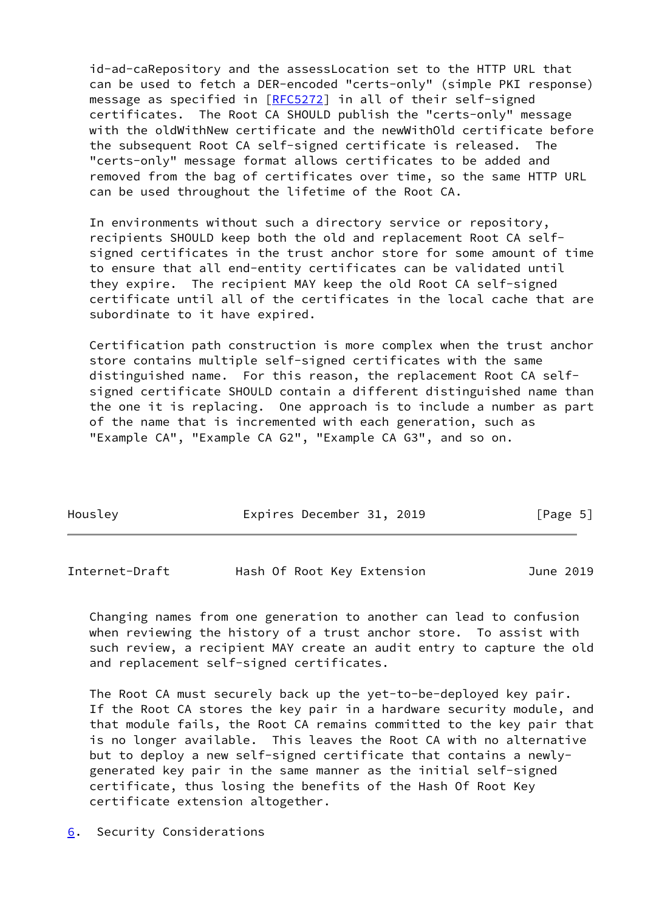id-ad-caRepository and the assessLocation set to the HTTP URL that can be used to fetch a DER-encoded "certs-only" (simple PKI response) message as specified in [\[RFC5272](https://datatracker.ietf.org/doc/pdf/rfc5272)] in all of their self-signed certificates. The Root CA SHOULD publish the "certs-only" message with the oldWithNew certificate and the newWithOld certificate before the subsequent Root CA self-signed certificate is released. The "certs-only" message format allows certificates to be added and removed from the bag of certificates over time, so the same HTTP URL can be used throughout the lifetime of the Root CA.

 In environments without such a directory service or repository, recipients SHOULD keep both the old and replacement Root CA self signed certificates in the trust anchor store for some amount of time to ensure that all end-entity certificates can be validated until they expire. The recipient MAY keep the old Root CA self-signed certificate until all of the certificates in the local cache that are subordinate to it have expired.

 Certification path construction is more complex when the trust anchor store contains multiple self-signed certificates with the same distinguished name. For this reason, the replacement Root CA self signed certificate SHOULD contain a different distinguished name than the one it is replacing. One approach is to include a number as part of the name that is incremented with each generation, such as "Example CA", "Example CA G2", "Example CA G3", and so on.

| Housley | Expires December 31, 2019 | [Page 5] |
|---------|---------------------------|----------|

<span id="page-5-1"></span>Internet-Draft Hash Of Root Key Extension June 2019

 Changing names from one generation to another can lead to confusion when reviewing the history of a trust anchor store. To assist with such review, a recipient MAY create an audit entry to capture the old and replacement self-signed certificates.

 The Root CA must securely back up the yet-to-be-deployed key pair. If the Root CA stores the key pair in a hardware security module, and that module fails, the Root CA remains committed to the key pair that is no longer available. This leaves the Root CA with no alternative but to deploy a new self-signed certificate that contains a newly generated key pair in the same manner as the initial self-signed certificate, thus losing the benefits of the Hash Of Root Key certificate extension altogether.

<span id="page-5-0"></span>[6](#page-5-0). Security Considerations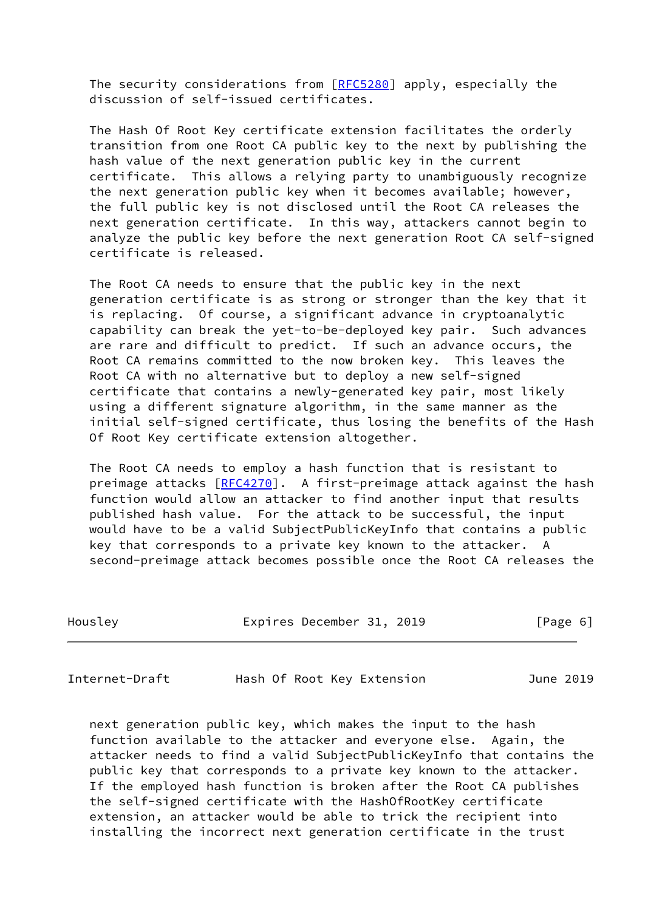The security considerations from [\[RFC5280](https://datatracker.ietf.org/doc/pdf/rfc5280)] apply, especially the discussion of self-issued certificates.

 The Hash Of Root Key certificate extension facilitates the orderly transition from one Root CA public key to the next by publishing the hash value of the next generation public key in the current certificate. This allows a relying party to unambiguously recognize the next generation public key when it becomes available; however, the full public key is not disclosed until the Root CA releases the next generation certificate. In this way, attackers cannot begin to analyze the public key before the next generation Root CA self-signed certificate is released.

 The Root CA needs to ensure that the public key in the next generation certificate is as strong or stronger than the key that it is replacing. Of course, a significant advance in cryptoanalytic capability can break the yet-to-be-deployed key pair. Such advances are rare and difficult to predict. If such an advance occurs, the Root CA remains committed to the now broken key. This leaves the Root CA with no alternative but to deploy a new self-signed certificate that contains a newly-generated key pair, most likely using a different signature algorithm, in the same manner as the initial self-signed certificate, thus losing the benefits of the Hash Of Root Key certificate extension altogether.

 The Root CA needs to employ a hash function that is resistant to preimage attacks [\[RFC4270](https://datatracker.ietf.org/doc/pdf/rfc4270)]. A first-preimage attack against the hash function would allow an attacker to find another input that results published hash value. For the attack to be successful, the input would have to be a valid SubjectPublicKeyInfo that contains a public key that corresponds to a private key known to the attacker. A second-preimage attack becomes possible once the Root CA releases the

| Housley | Expires December 31, 2019 |  |  |  | [Page 6] |  |
|---------|---------------------------|--|--|--|----------|--|
|---------|---------------------------|--|--|--|----------|--|

<span id="page-6-0"></span>Internet-Draft Hash Of Root Key Extension June 2019

 next generation public key, which makes the input to the hash function available to the attacker and everyone else. Again, the attacker needs to find a valid SubjectPublicKeyInfo that contains the public key that corresponds to a private key known to the attacker. If the employed hash function is broken after the Root CA publishes the self-signed certificate with the HashOfRootKey certificate extension, an attacker would be able to trick the recipient into installing the incorrect next generation certificate in the trust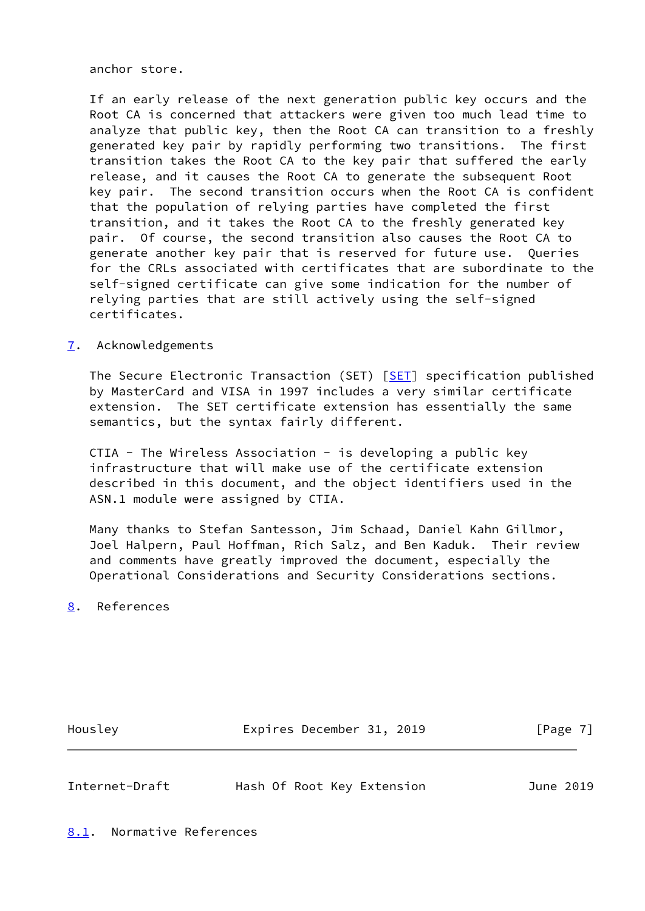anchor store.

 If an early release of the next generation public key occurs and the Root CA is concerned that attackers were given too much lead time to analyze that public key, then the Root CA can transition to a freshly generated key pair by rapidly performing two transitions. The first transition takes the Root CA to the key pair that suffered the early release, and it causes the Root CA to generate the subsequent Root key pair. The second transition occurs when the Root CA is confident that the population of relying parties have completed the first transition, and it takes the Root CA to the freshly generated key pair. Of course, the second transition also causes the Root CA to generate another key pair that is reserved for future use. Queries for the CRLs associated with certificates that are subordinate to the self-signed certificate can give some indication for the number of relying parties that are still actively using the self-signed certificates.

# <span id="page-7-0"></span>[7](#page-7-0). Acknowledgements

The Secure Electronic Transaction (SET) [\[SET](#page-9-3)] specification published by MasterCard and VISA in 1997 includes a very similar certificate extension. The SET certificate extension has essentially the same semantics, but the syntax fairly different.

CTIA - The Wireless Association - is developing a public key infrastructure that will make use of the certificate extension described in this document, and the object identifiers used in the ASN.1 module were assigned by CTIA.

 Many thanks to Stefan Santesson, Jim Schaad, Daniel Kahn Gillmor, Joel Halpern, Paul Hoffman, Rich Salz, and Ben Kaduk. Their review and comments have greatly improved the document, especially the Operational Considerations and Security Considerations sections.

<span id="page-7-1"></span>[8](#page-7-1). References

Housley **Expires December 31, 2019** [Page 7]

<span id="page-7-2"></span>

<span id="page-7-3"></span>Internet-Draft Hash Of Root Key Extension June 2019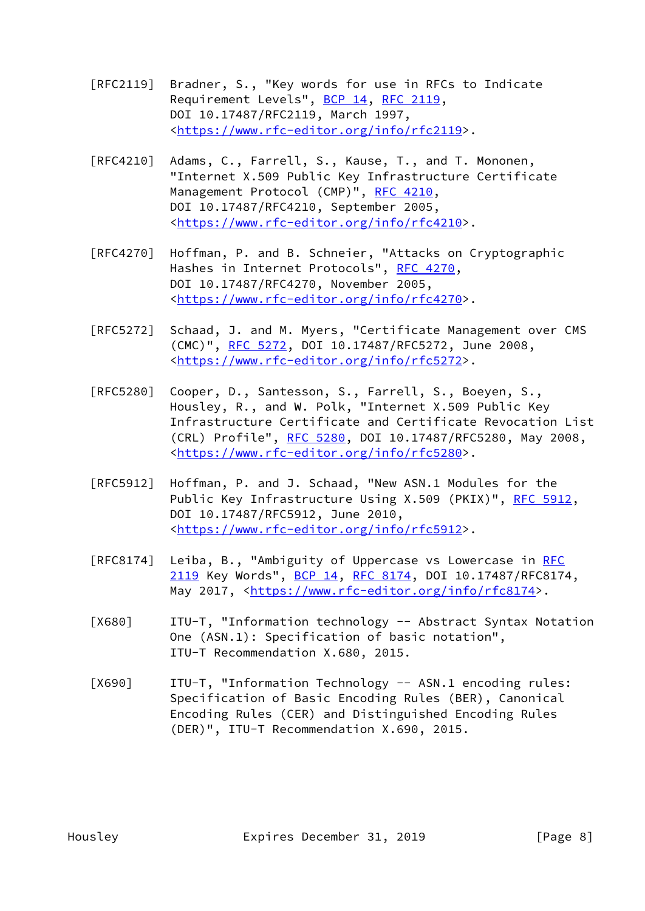- [RFC2119] Bradner, S., "Key words for use in RFCs to Indicate Requirement Levels", [BCP 14](https://datatracker.ietf.org/doc/pdf/bcp14), [RFC 2119](https://datatracker.ietf.org/doc/pdf/rfc2119), DOI 10.17487/RFC2119, March 1997, <[https://www.rfc-editor.org/info/rfc2119>](https://www.rfc-editor.org/info/rfc2119).
- [RFC4210] Adams, C., Farrell, S., Kause, T., and T. Mononen, "Internet X.509 Public Key Infrastructure Certificate Management Protocol (CMP)", [RFC 4210,](https://datatracker.ietf.org/doc/pdf/rfc4210) DOI 10.17487/RFC4210, September 2005, <[https://www.rfc-editor.org/info/rfc4210>](https://www.rfc-editor.org/info/rfc4210).
- [RFC4270] Hoffman, P. and B. Schneier, "Attacks on Cryptographic Hashes in Internet Protocols", [RFC 4270](https://datatracker.ietf.org/doc/pdf/rfc4270), DOI 10.17487/RFC4270, November 2005, <[https://www.rfc-editor.org/info/rfc4270>](https://www.rfc-editor.org/info/rfc4270).
- [RFC5272] Schaad, J. and M. Myers, "Certificate Management over CMS (CMC)", [RFC 5272,](https://datatracker.ietf.org/doc/pdf/rfc5272) DOI 10.17487/RFC5272, June 2008, <[https://www.rfc-editor.org/info/rfc5272>](https://www.rfc-editor.org/info/rfc5272).
- [RFC5280] Cooper, D., Santesson, S., Farrell, S., Boeyen, S., Housley, R., and W. Polk, "Internet X.509 Public Key Infrastructure Certificate and Certificate Revocation List (CRL) Profile", [RFC 5280,](https://datatracker.ietf.org/doc/pdf/rfc5280) DOI 10.17487/RFC5280, May 2008, <[https://www.rfc-editor.org/info/rfc5280>](https://www.rfc-editor.org/info/rfc5280).
- [RFC5912] Hoffman, P. and J. Schaad, "New ASN.1 Modules for the Public Key Infrastructure Using X.509 (PKIX)", [RFC 5912](https://datatracker.ietf.org/doc/pdf/rfc5912), DOI 10.17487/RFC5912, June 2010, <[https://www.rfc-editor.org/info/rfc5912>](https://www.rfc-editor.org/info/rfc5912).
- [RFC8174] Leiba, B., "Ambiguity of Uppercase vs Lowercase in [RFC](https://datatracker.ietf.org/doc/pdf/rfc2119) [2119](https://datatracker.ietf.org/doc/pdf/rfc2119) Key Words", [BCP 14](https://datatracker.ietf.org/doc/pdf/bcp14), [RFC 8174,](https://datatracker.ietf.org/doc/pdf/rfc8174) DOI 10.17487/RFC8174, May 2017, [<https://www.rfc-editor.org/info/rfc8174](https://www.rfc-editor.org/info/rfc8174)>.
- <span id="page-8-0"></span> [X680] ITU-T, "Information technology -- Abstract Syntax Notation One (ASN.1): Specification of basic notation", ITU-T Recommendation X.680, 2015.
- <span id="page-8-1"></span> [X690] ITU-T, "Information Technology -- ASN.1 encoding rules: Specification of Basic Encoding Rules (BER), Canonical Encoding Rules (CER) and Distinguished Encoding Rules (DER)", ITU-T Recommendation X.690, 2015.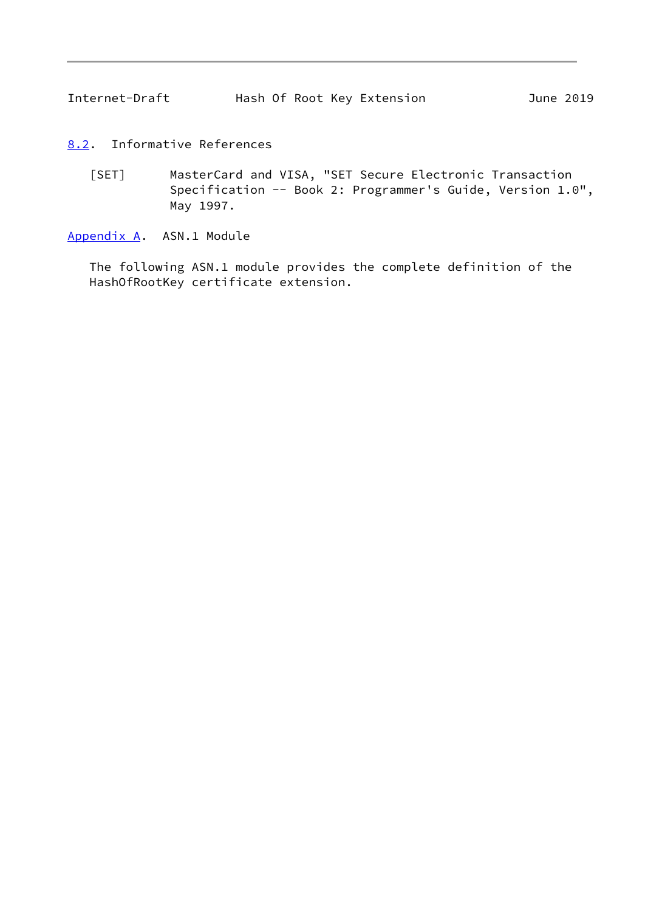- <span id="page-9-3"></span><span id="page-9-1"></span><span id="page-9-0"></span>[8.2](#page-9-0). Informative References
	- [SET] MasterCard and VISA, "SET Secure Electronic Transaction Specification -- Book 2: Programmer's Guide, Version 1.0", May 1997.

<span id="page-9-2"></span>[Appendix A.](#page-9-2) ASN.1 Module

 The following ASN.1 module provides the complete definition of the HashOfRootKey certificate extension.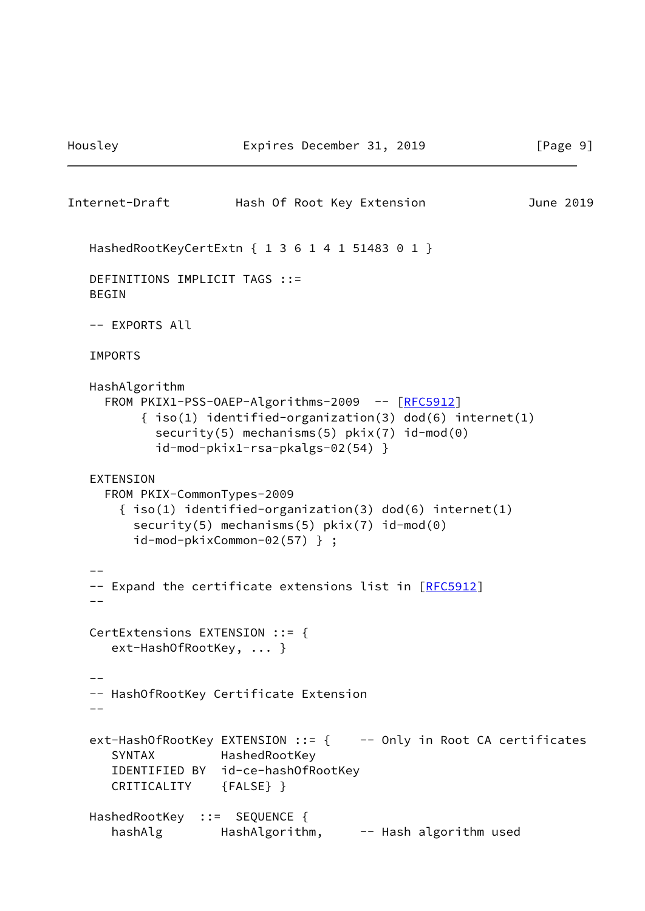```
Internet-Draft Hash Of Root Key Extension June 2019
  HashedRootKeyCertExtn { 1 3 6 1 4 1 51483 0 1 }
  DEFINITIONS IMPLICIT TAGS ::=
  BEGIN
  -- EXPORTS All
  IMPORTS
  HashAlgorithm
   RFC5912]
       \{ iso(1) identified-organization(3) dod(6) internet(1)
         security(5) mechanisms(5) pkix(7) id-mod(0)
          id-mod-pkix1-rsa-pkalgs-02(54) }
  EXTENSION
    FROM PKIX-CommonTypes-2009
      { iso(1) identified-organization(3) dod(6) internet(1)
        security(5) mechanisms(5) pkix(7) id-mod(0)
        id-mod-pkixCommon-02(57) } ;
 -[RFC5912]
--
  CertExtensions EXTENSION ::= {
     ext-HashOfRootKey, ... }
--
  -- HashOfRootKey Certificate Extension
 --ext-HashOfRootKey EXTENSION ::= { -- Only in Root CA certificates
     SYNTAX HashedRootKey
     IDENTIFIED BY id-ce-hashOfRootKey
     CRITICALITY {FALSE} }
 HashedRootKey ::= SEQUENCE {
    hashAlg HashAlgorithm, -- Hash algorithm used
```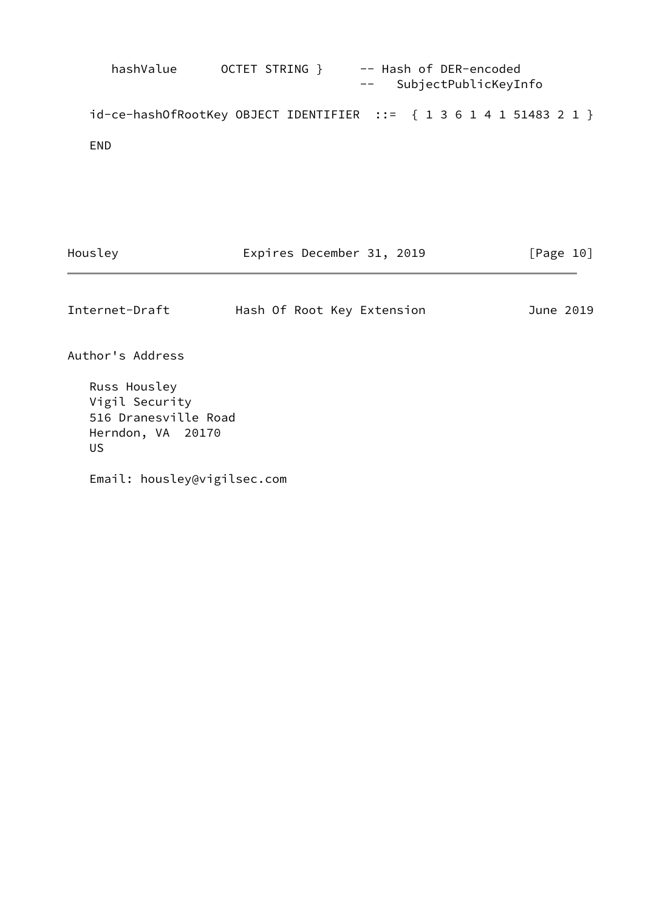hashValue OCTET STRING } -- Hash of DER-encoded -- SubjectPublicKeyInfo id-ce-hashOfRootKey OBJECT IDENTIFIER ::= { 1 3 6 1 4 1 51483 2 1 } END

Housley **Expires December 31, 2019** [Page 10]

<span id="page-11-0"></span>Internet-Draft Hash Of Root Key Extension June 2019

Author's Address

 Russ Housley Vigil Security 516 Dranesville Road Herndon, VA 20170 US

Email: housley@vigilsec.com